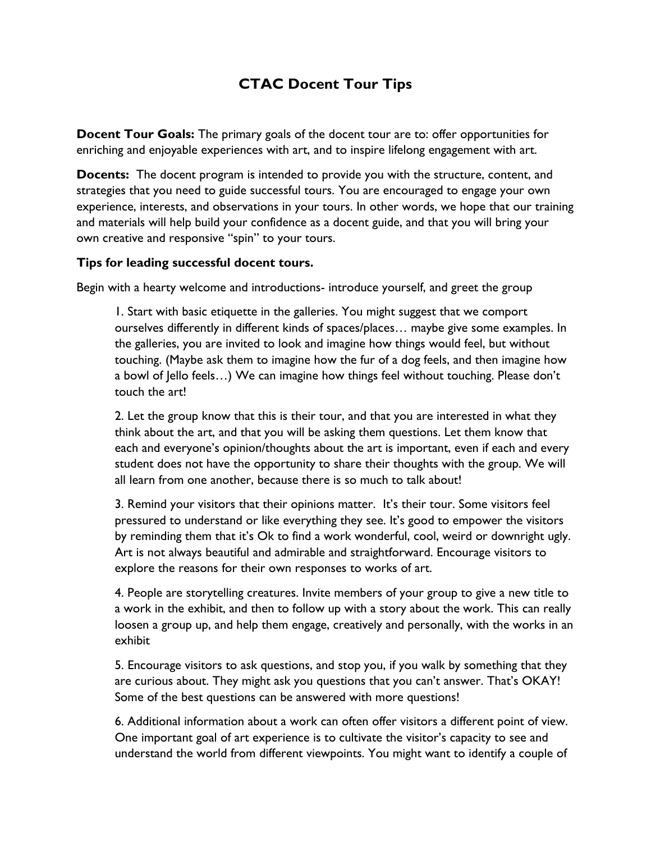## **CTAC Docent Tour Tips**

**Docent Tour Goals:** The primary goals of the docent tour are to: offer opportunities for enriching and enjoyable experiences with art, and to inspire lifelong engagement with art.

**Docents:** The docent program is intended to provide you with the structure, content, and strategies that you need to guide successful tours. You are encouraged to engage your own experience, interests, and observations in your tours. In other words, we hope that our training and materials will help build your confidence as a docent guide, and that you will bring your own creative and responsive "spin" to your tours.

## **Tips for leading successful docent tours.**

Begin with a hearty welcome and introductions- introduce yourself, and greet the group

1. Start with basic etiquette in the galleries. You might suggest that we comport ourselves differently in different kinds of spaces/places… maybe give some examples. In the galleries, you are invited to look and imagine how things would feel, but without touching. (Maybe ask them to imagine how the fur of a dog feels, and then imagine how a bowl of Jello feels…) We can imagine how things feel without touching. Please don't touch the art!

2. Let the group know that this is their tour, and that you are interested in what they think about the art, and that you will be asking them questions. Let them know that each and everyone's opinion/thoughts about the art is important, even if each and every student does not have the opportunity to share their thoughts with the group. We will all learn from one another, because there is so much to talk about!

3. Remind your visitors that their opinions matter. It's their tour. Some visitors feel pressured to understand or like everything they see. It's good to empower the visitors by reminding them that it's Ok to find a work wonderful, cool, weird or downright ugly. Art is not always beautiful and admirable and straightforward. Encourage visitors to explore the reasons for their own responses to works of art.

4. People are storytelling creatures. Invite members of your group to give a new title to a work in the exhibit, and then to follow up with a story about the work. This can really loosen a group up, and help them engage, creatively and personally, with the works in an exhibit

5. Encourage visitors to ask questions, and stop you, if you walk by something that they are curious about. They might ask you questions that you can't answer. That's OKAY! Some of the best questions can be answered with more questions!

6. Additional information about a work can often offer visitors a different point of view. One important goal of art experience is to cultivate the visitor's capacity to see and understand the world from different viewpoints. You might want to identify a couple of